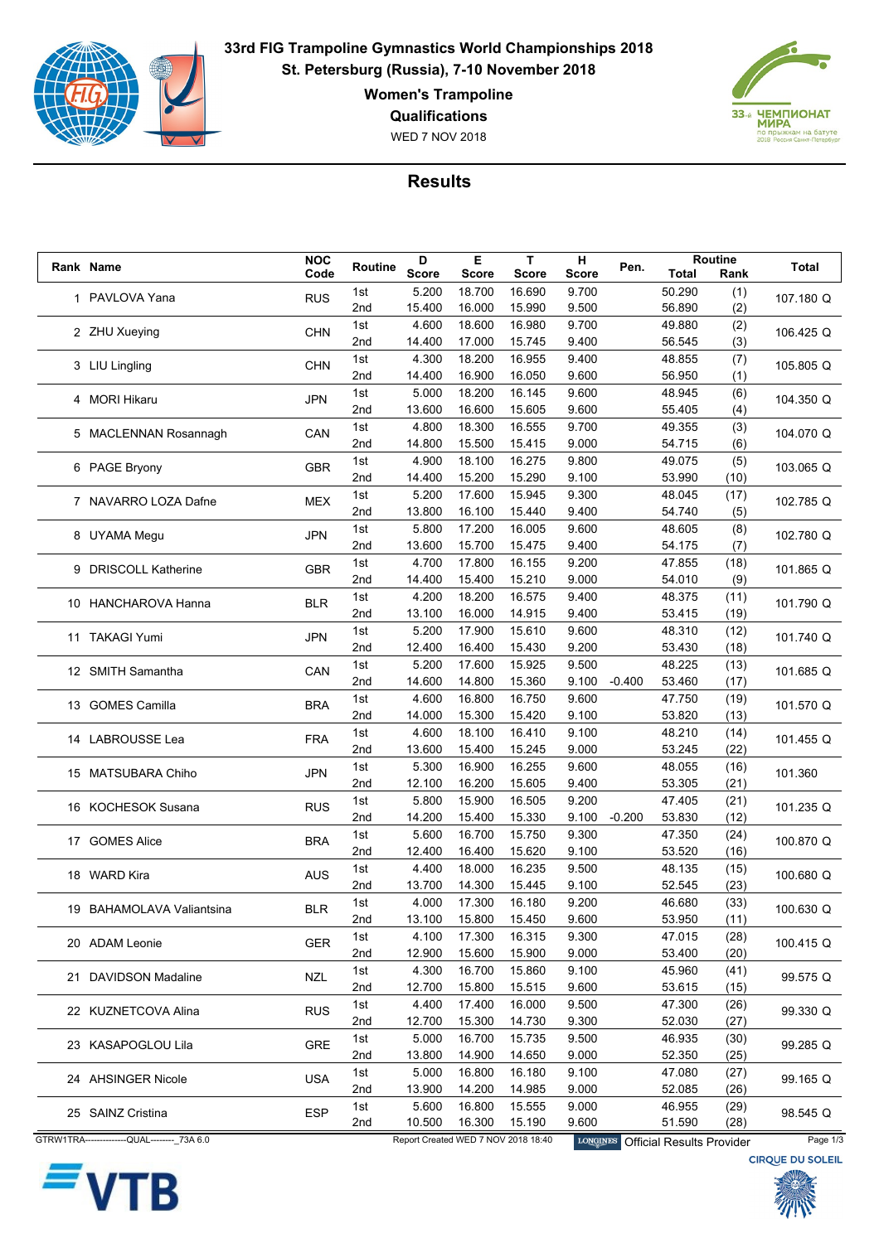

**33rd FIG Trampoline Gymnastics World Championships 2018 St. Petersburg (Russia), 7-10 November 2018**

**Women's Trampoline**

**Qualifications**

WED 7 NOV 2018



## **Results**

|  | Rank Name                                    | <b>NOC</b> | Routine         | D            | Е            | T                                   | н               | Pen.     |                                  | Routine | Total                   |
|--|----------------------------------------------|------------|-----------------|--------------|--------------|-------------------------------------|-----------------|----------|----------------------------------|---------|-------------------------|
|  |                                              | Code       |                 | <b>Score</b> | <b>Score</b> | <b>Score</b>                        | Score           |          | Total                            | Rank    |                         |
|  | 1 PAVLOVA Yana                               | <b>RUS</b> | 1st             | 5.200        | 18.700       | 16.690                              | 9.700           |          | 50.290                           | (1)     | 107.180 Q               |
|  |                                              |            | 2 <sub>nd</sub> | 15.400       | 16.000       | 15.990                              | 9.500           |          | 56.890                           | (2)     |                         |
|  | 2 ZHU Xueying                                | <b>CHN</b> | 1st             | 4.600        | 18.600       | 16.980                              | 9.700           |          | 49.880                           | (2)     | 106.425 Q               |
|  |                                              |            | 2nd             | 14.400       | 17.000       | 15.745                              | 9.400           |          | 56.545                           | (3)     |                         |
|  | 3 LIU Lingling                               | <b>CHN</b> | 1st             | 4.300        | 18.200       | 16.955                              | 9.400           |          | 48.855                           | (7)     | 105.805 Q               |
|  |                                              |            | 2nd             | 14.400       | 16.900       | 16.050                              | 9.600           |          | 56.950                           | (1)     |                         |
|  | 4 MORI Hikaru                                | <b>JPN</b> | 1st             | 5.000        | 18.200       | 16.145                              | 9.600           |          | 48.945                           | (6)     | 104.350 Q               |
|  |                                              |            | 2nd             | 13.600       | 16.600       | 15.605                              | 9.600           |          | 55.405                           | (4)     |                         |
|  | 5 MACLENNAN Rosannagh                        | CAN        | 1st             | 4.800        | 18.300       | 16.555                              | 9.700           |          | 49.355                           | (3)     | 104.070 Q               |
|  |                                              |            | 2nd             | 14.800       | 15.500       | 15.415                              | 9.000           |          | 54.715                           | (6)     |                         |
|  | 6 PAGE Bryony                                |            | 1st             | 4.900        | 18.100       | 16.275                              | 9.800           |          | 49.075                           | (5)     |                         |
|  |                                              | <b>GBR</b> | 2nd             | 14.400       | 15.200       | 15.290                              | 9.100           |          | 53.990                           | (10)    | 103.065 Q               |
|  |                                              |            | 1st             | 5.200        | 17.600       | 15.945                              | 9.300           |          | 48.045                           | (17)    |                         |
|  | 7 NAVARRO LOZA Dafne                         | <b>MEX</b> | 2nd             | 13.800       | 16.100       | 15.440                              | 9.400           |          | 54.740                           | (5)     | 102.785 Q               |
|  |                                              |            | 1st             | 5.800        | 17.200       | 16.005                              | 9.600           |          | 48.605                           | (8)     |                         |
|  | 8 UYAMA Megu                                 | <b>JPN</b> | 2nd             | 13.600       | 15.700       | 15.475                              | 9.400           |          | 54.175                           | (7)     | 102.780 Q               |
|  |                                              |            |                 | 4.700        |              |                                     |                 |          |                                  |         |                         |
|  | 9 DRISCOLL Katherine                         | <b>GBR</b> | 1st             |              | 17.800       | 16.155                              | 9.200           |          | 47.855                           | (18)    | 101.865 Q               |
|  |                                              |            | 2nd             | 14.400       | 15.400       | 15.210                              | 9.000           |          | 54.010                           | (9)     |                         |
|  | 10 HANCHAROVA Hanna                          | <b>BLR</b> | 1st             | 4.200        | 18.200       | 16.575                              | 9.400           |          | 48.375                           | (11)    | 101.790 Q               |
|  |                                              |            | 2 <sub>nd</sub> | 13.100       | 16.000       | 14.915                              | 9.400           |          | 53.415                           | (19)    |                         |
|  | 11 TAKAGI Yumi                               | <b>JPN</b> | 1st             | 5.200        | 17.900       | 15.610                              | 9.600           |          | 48.310                           | (12)    | 101.740 Q               |
|  |                                              |            | 2nd             | 12.400       | 16.400       | 15.430                              | 9.200           |          | 53.430                           | (18)    |                         |
|  | 12 SMITH Samantha                            | CAN        | 1st             | 5.200        | 17.600       | 15.925                              | 9.500           |          | 48.225                           | (13)    | 101.685 Q               |
|  |                                              |            | 2nd             | 14.600       | 14.800       | 15.360                              | 9.100           | $-0.400$ | 53.460                           | (17)    |                         |
|  | 13 GOMES Camilla                             | <b>BRA</b> | 1st             | 4.600        | 16.800       | 16.750                              | 9.600           |          | 47.750                           | (19)    | 101.570 Q               |
|  |                                              |            | 2 <sub>nd</sub> | 14.000       | 15.300       | 15.420                              | 9.100           |          | 53.820                           | (13)    |                         |
|  | 14 LABROUSSE Lea                             | <b>FRA</b> | 1st             | 4.600        | 18.100       | 16.410                              | 9.100           |          | 48.210                           | (14)    | 101.455 Q               |
|  |                                              |            | 2nd             | 13.600       | 15.400       | 15.245                              | 9.000           |          | 53.245                           | (22)    |                         |
|  |                                              | <b>JPN</b> | 1st             | 5.300        | 16.900       | 16.255                              | 9.600           |          | 48.055                           | (16)    | 101.360                 |
|  | 15 MATSUBARA Chiho                           |            | 2nd             | 12.100       | 16.200       | 15.605                              | 9.400           |          | 53.305                           | (21)    |                         |
|  |                                              |            | 1st             | 5.800        | 15.900       | 16.505                              | 9.200           |          | 47.405                           | (21)    |                         |
|  | 16 KOCHESOK Susana                           | <b>RUS</b> | 2nd             | 14.200       | 15.400       | 15.330                              | 9.100           | $-0.200$ | 53.830                           | (12)    | 101.235 Q               |
|  |                                              |            | 1st             | 5.600        | 16.700       | 15.750                              | 9.300           |          | 47.350                           | (24)    |                         |
|  | 17 GOMES Alice                               | <b>BRA</b> | 2 <sub>nd</sub> | 12.400       | 16.400       | 15.620                              | 9.100           |          | 53.520                           | (16)    | 100.870 Q               |
|  |                                              |            | 1st             | 4.400        | 18.000       | 16.235                              | 9.500           |          | 48.135                           | (15)    |                         |
|  | 18 WARD Kira                                 | <b>AUS</b> | 2nd             | 13.700       | 14.300       | 15.445                              | 9.100           |          | 52.545                           | (23)    | 100.680 Q               |
|  |                                              |            | 1st             | 4.000        | 17.300       | 16.180                              | 9.200           |          | 46.680                           | (33)    |                         |
|  | 19 BAHAMOLAVA Valiantsina                    | <b>BLR</b> | 2nd             | 13.100       | 15.800       | 15.450                              | 9.600           |          | 53.950                           | (11)    | 100.630 Q               |
|  |                                              |            |                 | 4.100        | 17.300       | 16.315                              | 9.300           |          | 47.015                           |         |                         |
|  | 20 ADAM Leonie                               | <b>GER</b> | 1st             |              |              |                                     |                 |          |                                  | (28)    | 100.415 Q               |
|  |                                              |            | 2nd             | 12.900       | 15.600       | 15.900                              | 9.000           |          | 53.400                           | (20)    |                         |
|  | 21 DAVIDSON Madaline                         | <b>NZL</b> | 1st             | 4.300        | 16.700       | 15.860                              | 9.100           |          | 45.960                           | (41)    | 99.575 Q                |
|  |                                              |            | 2nd             | 12.700       | 15.800       | 15.515                              | 9.600           |          | 53.615                           | (15)    |                         |
|  | 22 KUZNETCOVA Alina                          | <b>RUS</b> | 1st             | 4.400        | 17.400       | 16.000                              | 9.500           |          | 47.300                           | (26)    | 99.330 Q                |
|  |                                              |            | 2nd             | 12.700       | 15.300       | 14.730                              | 9.300           |          | 52.030                           | (27)    |                         |
|  | 23 KASAPOGLOU Lila                           | GRE        | 1st             | 5.000        | 16.700       | 15.735                              | 9.500           |          | 46.935                           | (30)    | 99.285 Q                |
|  |                                              |            | 2nd             | 13.800       | 14.900       | 14.650                              | 9.000           |          | 52.350                           | (25)    |                         |
|  | 24 AHSINGER Nicole                           | <b>USA</b> | 1st             | 5.000        | 16.800       | 16.180                              | 9.100           |          | 47.080                           | (27)    | 99.165 Q                |
|  |                                              |            | 2nd             | 13.900       | 14.200       | 14.985                              | 9.000           |          | 52.085                           | (26)    |                         |
|  |                                              | <b>ESP</b> | 1st             | 5.600        | 16.800       | 15.555                              | 9.000           |          | 46.955                           | (29)    | 98.545 Q                |
|  | 25 SAINZ Cristina                            |            | 2nd             | 10.500       | 16.300       | 15.190                              | 9.600           |          | 51.590                           | (28)    |                         |
|  | GTRW1TRA----------------QUAL-------- 73A 6.0 |            |                 |              |              | Report Created WED 7 NOV 2018 18:40 | <b>LONGINES</b> |          | <b>Official Results Provider</b> |         | Page 1/3                |
|  |                                              |            |                 |              |              |                                     |                 |          |                                  |         | <b>CIRQUE DU SOLEIL</b> |
|  |                                              |            |                 |              |              |                                     |                 |          |                                  |         |                         |



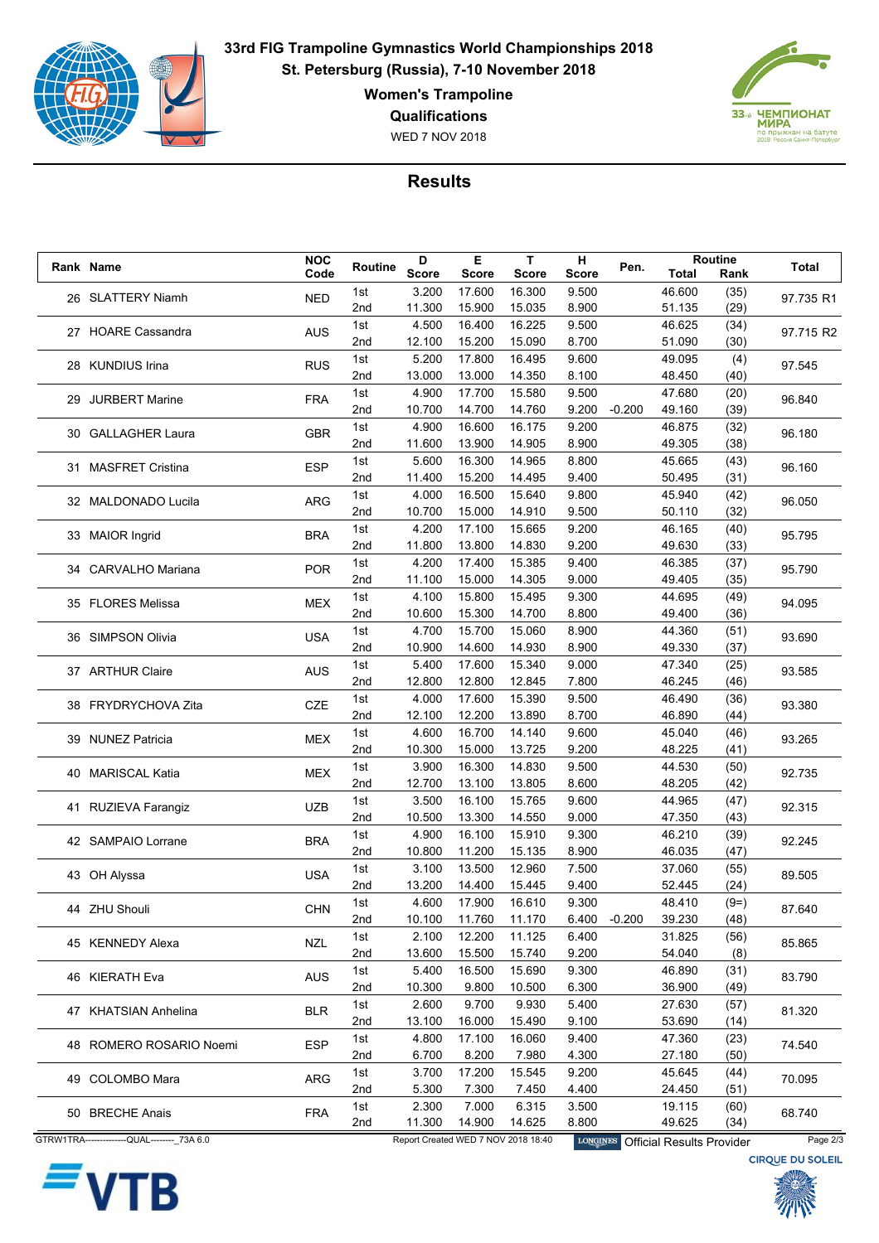

**33rd FIG Trampoline Gymnastics World Championships 2018 St. Petersburg (Russia), 7-10 November 2018**

**Women's Trampoline**

**Qualifications**

WED 7 NOV 2018



## **Results**

|  | Rank Name                                    | <b>NOC</b> | Routine         | D            | Е            | T.                                  | н               | Pen.     |                                  | Routine      | Total                   |
|--|----------------------------------------------|------------|-----------------|--------------|--------------|-------------------------------------|-----------------|----------|----------------------------------|--------------|-------------------------|
|  |                                              | Code       |                 | <b>Score</b> | <b>Score</b> | <b>Score</b>                        | Score           |          | Total                            | Rank         |                         |
|  | 26 SLATTERY Niamh                            | <b>NED</b> | 1st             | 3.200        | 17.600       | 16.300                              | 9.500           |          | 46.600                           | (35)         | 97.735 R1               |
|  |                                              |            | 2nd             | 11.300       | 15.900       | 15.035                              | 8.900           |          | 51.135                           | (29)         |                         |
|  | 27 HOARE Cassandra                           | <b>AUS</b> | 1st             | 4.500        | 16.400       | 16.225                              | 9.500           |          | 46.625                           | (34)         | 97.715 R2               |
|  |                                              |            | 2nd             | 12.100       | 15.200       | 15.090                              | 8.700           |          | 51.090                           | (30)         |                         |
|  | 28 KUNDIUS Irina                             | <b>RUS</b> | 1st             | 5.200        | 17.800       | 16.495                              | 9.600           |          | 49.095                           | (4)          | 97.545                  |
|  |                                              |            | 2nd             | 13.000       | 13.000       | 14.350                              | 8.100           |          | 48.450                           | (40)         |                         |
|  | 29 JURBERT Marine                            | <b>FRA</b> | 1st             | 4.900        | 17.700       | 15.580                              | 9.500           |          | 47.680                           | (20)         | 96.840                  |
|  |                                              |            | 2nd             | 10.700       | 14.700       | 14.760                              | 9.200           | $-0.200$ | 49.160                           | (39)         |                         |
|  | 30 GALLAGHER Laura                           | <b>GBR</b> | 1st             | 4.900        | 16.600       | 16.175                              | 9.200           |          | 46.875                           | (32)         | 96.180                  |
|  |                                              |            | 2nd             | 11.600       | 13.900       | 14.905                              | 8.900           |          | 49.305                           | (38)         |                         |
|  | 31 MASFRET Cristina                          | <b>ESP</b> | 1st             | 5.600        | 16.300       | 14.965                              | 8.800           |          | 45.665                           | (43)         | 96.160                  |
|  |                                              |            | 2nd             | 11.400       | 15.200       | 14.495                              | 9.400           |          | 50.495                           | (31)         |                         |
|  |                                              |            | 1st             | 4.000        | 16.500       | 15.640                              | 9.800           |          | 45.940                           | (42)         |                         |
|  | 32 MALDONADO Lucila                          | <b>ARG</b> | 2nd             | 10.700       | 15.000       | 14.910                              | 9.500           |          | 50.110                           | (32)         | 96.050                  |
|  |                                              |            | 1st             | 4.200        | 17.100       | 15.665                              | 9.200           |          | 46.165                           | (40)         |                         |
|  | 33 MAIOR Ingrid                              | <b>BRA</b> | 2nd             | 11.800       | 13.800       | 14.830                              | 9.200           |          | 49.630                           | (33)         | 95.795                  |
|  |                                              |            | 1st             | 4.200        | 17.400       | 15.385                              | 9.400           |          | 46.385                           | (37)         |                         |
|  | 34 CARVALHO Mariana                          | <b>POR</b> | 2nd             | 11.100       | 15.000       | 14.305                              | 9.000           |          | 49.405                           | (35)         | 95.790                  |
|  |                                              |            | 1st             | 4.100        | 15.800       | 15.495                              | 9.300           |          | 44.695                           | (49)         |                         |
|  | 35 FLORES Melissa                            | <b>MEX</b> | 2 <sub>nd</sub> | 10.600       | 15.300       | 14.700                              | 8.800           |          | 49.400                           | (36)         | 94.095                  |
|  |                                              |            | 1st             | 4.700        | 15.700       | 15.060                              | 8.900           |          | 44.360                           | (51)         |                         |
|  | 36 SIMPSON Olivia                            | <b>USA</b> | 2nd             | 10.900       | 14.600       | 14.930                              | 8.900           |          | 49.330                           | (37)         | 93.690                  |
|  |                                              |            |                 |              |              |                                     |                 |          |                                  |              |                         |
|  | 37 ARTHUR Claire                             | <b>AUS</b> | 1st             | 5.400        | 17.600       | 15.340                              | 9.000           |          | 47.340                           | (25)         | 93.585                  |
|  |                                              |            | 2nd             | 12.800       | 12.800       | 12.845                              | 7.800           |          | 46.245                           | (46)         |                         |
|  | 38 FRYDRYCHOVA Zita                          | <b>CZE</b> | 1st             | 4.000        | 17.600       | 15.390                              | 9.500           |          | 46.490                           | (36)         | 93.380                  |
|  |                                              |            | 2 <sub>nd</sub> | 12.100       | 12.200       | 13.890                              | 8.700           |          | 46.890                           | (44)         |                         |
|  | 39 NUNEZ Patricia                            | <b>MEX</b> | 1st             | 4.600        | 16.700       | 14.140                              | 9.600           |          | 45.040                           | (46)         | 93.265                  |
|  |                                              |            | 2nd             | 10.300       | 15.000       | 13.725                              | 9.200           |          | 48.225                           | (41)         |                         |
|  | 40 MARISCAL Katia                            | <b>MEX</b> | 1st             | 3.900        | 16.300       | 14.830                              | 9.500           |          | 44.530                           | (50)         | 92.735                  |
|  |                                              |            | 2nd             | 12.700       | 13.100       | 13.805                              | 8.600           |          | 48.205                           | (42)         |                         |
|  | 41 RUZIEVA Farangiz                          | <b>UZB</b> | 1st             | 3.500        | 16.100       | 15.765                              | 9.600           |          | 44.965                           | (47)         | 92.315                  |
|  |                                              |            | 2nd             | 10.500       | 13.300       | 14.550                              | 9.000           |          | 47.350                           | (43)         |                         |
|  | 42 SAMPAIO Lorrane                           | <b>BRA</b> | 1st             | 4.900        | 16.100       | 15.910                              | 9.300           |          | 46.210                           | (39)         | 92.245                  |
|  |                                              |            | 2nd             | 10.800       | 11.200       | 15.135                              | 8.900           |          | 46.035                           | (47)         |                         |
|  | 43 OH Alyssa                                 | <b>USA</b> | 1st             | 3.100        | 13.500       | 12.960                              | 7.500           |          | 37.060                           | (55)         | 89.505                  |
|  |                                              |            | 2nd             | 13.200       | 14.400       | 15.445                              | 9.400           |          | 52.445                           | (24)         |                         |
|  | 44 ZHU Shouli                                | <b>CHN</b> | 1st             | 4.600        | 17.900       | 16.610                              | 9.300           |          | 48.410                           | $(9=)$       | 87.640                  |
|  |                                              |            | 2nd             | 10.100       | 11.760       | 11.170                              | 6.400           | $-0.200$ | 39.230                           | (48)         |                         |
|  | 45 KENNEDY Alexa                             |            | 1st             | 2.100        | 12.200       | 11.125                              | 6.400           |          | 31.825                           | (56)         |                         |
|  |                                              | <b>NZL</b> | 2nd             | 13.600       | 15.500       | 15.740                              | 9.200           |          | 54.040                           | (8)          | 85.865                  |
|  |                                              |            | 1st             | 5.400        | 16.500       | 15.690                              | 9.300           |          | 46.890                           | (31)         |                         |
|  | 46 KIERATH Eva                               | <b>AUS</b> | 2nd             | 10.300       | 9.800        | 10.500                              | 6.300           |          | 36.900                           | (49)         | 83.790                  |
|  |                                              |            | 1st             | 2.600        | 9.700        | 9.930                               | 5.400           |          | 27.630                           | (57)         |                         |
|  | 47 KHATSIAN Anhelina                         | <b>BLR</b> | 2nd             | 13.100       | 16.000       | 15.490                              | 9.100           |          | 53.690                           | (14)         | 81.320                  |
|  |                                              |            | 1st             | 4.800        | 17.100       | 16.060                              | 9.400           |          | 47.360                           | (23)         |                         |
|  | 48 ROMERO ROSARIO Noemi                      | <b>ESP</b> | 2nd             | 6.700        | 8.200        | 7.980                               | 4.300           |          | 27.180                           | (50)         | 74.540                  |
|  |                                              |            | 1st             | 3.700        | 17.200       | 15.545                              | 9.200           |          | 45.645                           | (44)         |                         |
|  | 49 COLOMBO Mara                              | ARG        | 2nd             | 5.300        | 7.300        | 7.450                               | 4.400           |          | 24.450                           | (51)         | 70.095                  |
|  |                                              |            | 1st             | 2.300        | 7.000        | 6.315                               | 3.500           |          | 19.115                           |              |                         |
|  | 50 BRECHE Anais                              | <b>FRA</b> | 2nd             | 11.300       | 14.900       | 14.625                              | 8.800           |          | 49.625                           | (60)<br>(34) | 68.740                  |
|  | GTRW1TRA----------------QUAL-------- 73A 6.0 |            |                 |              |              | Report Created WED 7 NOV 2018 18:40 |                 |          |                                  |              | Page 2/3                |
|  |                                              |            |                 |              |              |                                     | <b>LONGINES</b> |          | <b>Official Results Provider</b> |              |                         |
|  |                                              |            |                 |              |              |                                     |                 |          |                                  |              | <b>CIRQUE DU SOLEIL</b> |